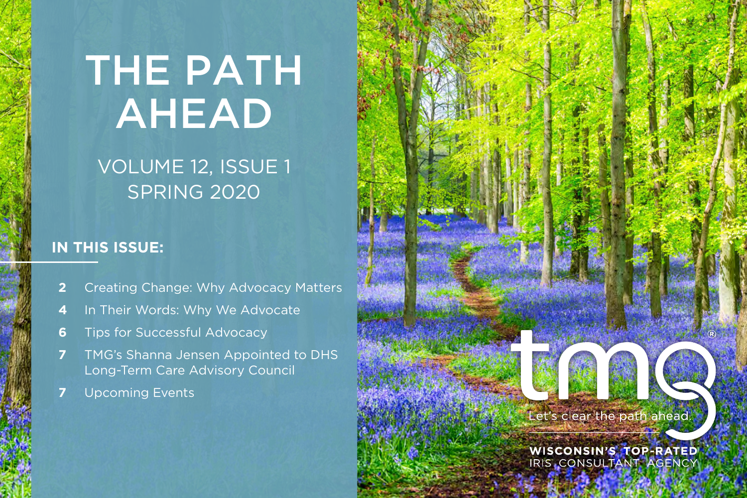# THE PATH AHEAD

### VOLUME 12, ISSUE 1 SPRING 2020

#### **IN THIS ISSUE:**

- **[2](#page-1-0)** Creating Change: Why Advocacy Matters
- **[4](#page-3-0)** In Their Words: Why We Advocate
- **6** Tips for Successful Advocacy
- **[7](#page-6-0)** TMG's Shanna Jensen Appointed to DHS Long-Term Care Advisory Council
- **[7](#page-6-0)** Upcoming Events

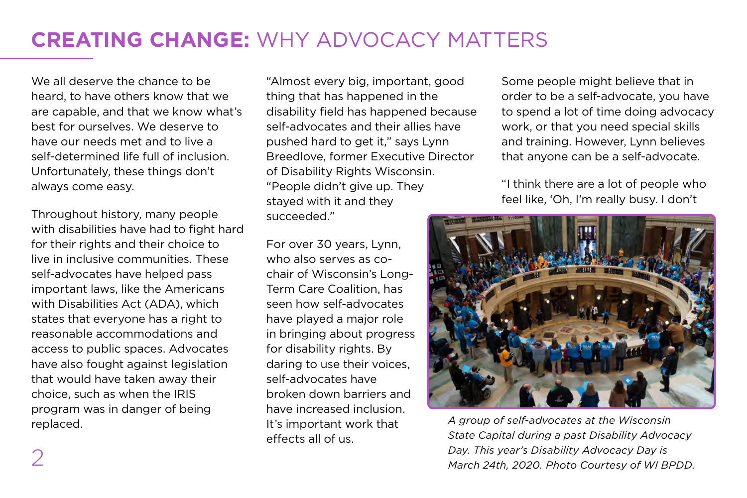### <span id="page-1-0"></span>**CREATING CHANGE:** WHY ADVOCACY MATTERS

We all deserve the chance to be heard, to have others know that we are capable, and that we know what's best for ourselves. We deserve to have our needs met and to live a self-determined life full of inclusion. Unfortunately, these things don't always come easy.

Throughout history, many people with disabilities have had to fight hard for their rights and their choice to live in inclusive communities. These self-advocates have helped pass important laws, like the Americans with Disabilities Act (ADA), which states that everyone has a right to reasonable accommodations and access to public spaces. Advocates have also fought against legislation that would have taken away their choice, such as when the IRIS program was in danger of being replaced.

"Almost every big, important, good thing that has happened in the disability field has happened because self-advocates and their allies have pushed hard to get it," says Lynn Breedlove, former Executive Director of Disability Rights Wisconsin. "People didn't give up. They stayed with it and they succeeded."

For over 30 years, Lynn, who also serves as cochair of Wisconsin's Long-Term Care Coalition, has seen how self-advocates have played a major role in bringing about progress for disability rights. By daring to use their voices, self-advocates have broken down barriers and have increased inclusion. It's important work that effects all of us.

Some people might believe that in order to be a self-advocate, you have to spend a lot of time doing advocacy work, or that you need special skills and training. However, Lynn believes that anyone can be a self-advocate.

"I think there are a lot of people who feel like, 'Oh, I'm really busy. I don't



*A group of self-advocates at the Wisconsin State Capital during a past Disability Advocacy Day. This year's Disability Advocacy Day is March 24th, 2020. Photo Courtesy of WI BPDD.*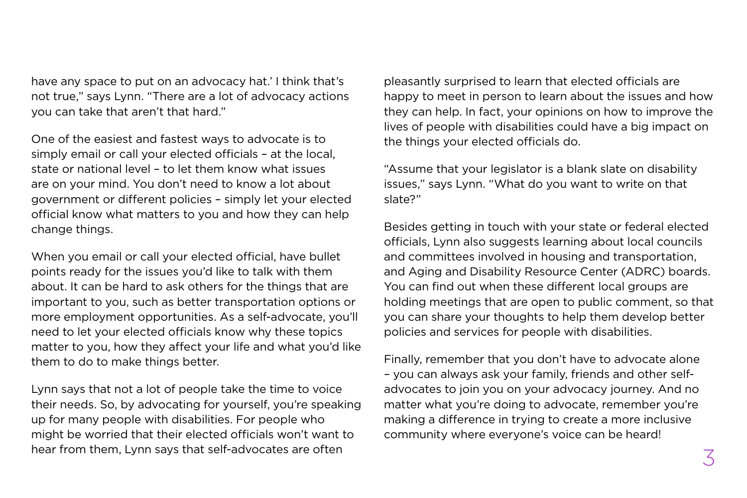have any space to put on an advocacy hat.' I think that's not true," says Lynn. "There are a lot of advocacy actions you can take that aren't that hard."

One of the easiest and fastest ways to advocate is to simply email or call your elected officials – at the local, state or national level – to let them know what issues are on your mind. You don't need to know a lot about government or different policies – simply let your elected official know what matters to you and how they can help change things.

When you email or call your elected official, have bullet points ready for the issues you'd like to talk with them about. It can be hard to ask others for the things that are important to you, such as better transportation options or more employment opportunities. As a self-advocate, you'll need to let your elected officials know why these topics matter to you, how they affect your life and what you'd like them to do to make things better.

Lynn says that not a lot of people take the time to voice their needs. So, by advocating for yourself, you're speaking up for many people with disabilities. For people who might be worried that their elected officials won't want to hear from them, Lynn says that self-advocates are often

pleasantly surprised to learn that elected officials are happy to meet in person to learn about the issues and how they can help. In fact, your opinions on how to improve the lives of people with disabilities could have a big impact on the things your elected officials do.

"Assume that your legislator is a blank slate on disability issues," says Lynn. "What do you want to write on that slate?"

Besides getting in touch with your state or federal elected officials, Lynn also suggests learning about local councils and committees involved in housing and transportation, and Aging and Disability Resource Center (ADRC) boards. You can find out when these different local groups are holding meetings that are open to public comment, so that you can share your thoughts to help them develop better policies and services for people with disabilities.

Finally, remember that you don't have to advocate alone – you can always ask your family, friends and other selfadvocates to join you on your advocacy journey. And no matter what you're doing to advocate, remember you're making a difference in trying to create a more inclusive community where everyone's voice can be heard!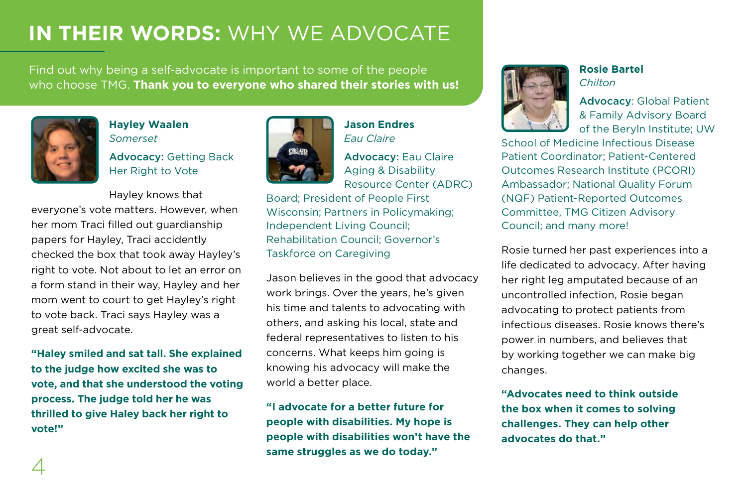### <span id="page-3-0"></span>**IN THEIR WORDS:** WHY WE ADVOCATE

Find out why being a self-advocate is important to some of the people who choose TMG. **Thank you to everyone who shared their stories with us!**



#### **Hayley Waalen** *Somerset*

Advocacy: Getting Back Her Right to Vote

Hayley knows that everyone's vote matters. However, when her mom Traci filled out guardianship papers for Hayley, Traci accidently checked the box that took away Hayley's right to vote. Not about to let an error on a form stand in their way, Hayley and her mom went to court to get Hayley's right to vote back. Traci says Hayley was a great self-advocate.

**"Haley smiled and sat tall. She explained to the judge how excited she was to vote, and that she understood the voting process. The judge told her he was thrilled to give Haley back her right to vote!"**



**Jason Endres** *Eau Claire*

Advocacy: Eau Claire Aging & Disability Resource Center (ADRC)

Board; President of People First Wisconsin; Partners in Policymaking; Independent Living Council; Rehabilitation Council; Governor's Taskforce on Caregiving

Jason believes in the good that advocacy work brings. Over the years, he's given his time and talents to advocating with others, and asking his local, state and federal representatives to listen to his concerns. What keeps him going is knowing his advocacy will make the world a better place.

**"I advocate for a better future for people with disabilities. My hope is people with disabilities won't have the same struggles as we do today."**



**Rosie Bartel**  *Chilton*

Advocacy: Global Patient & Family Advisory Board of the Beryln Institute; UW

School of Medicine Infectious Disease Patient Coordinator; Patient-Centered Outcomes Research Institute (PCORI) Ambassador; National Quality Forum (NQF) Patient-Reported Outcomes Committee, TMG Citizen Advisory Council; and many more!

Rosie turned her past experiences into a life dedicated to advocacy. After having her right leg amputated because of an uncontrolled infection, Rosie began advocating to protect patients from infectious diseases. Rosie knows there's power in numbers, and believes that by working together we can make big changes.

**"Advocates need to think outside the box when it comes to solving challenges. They can help other advocates do that."**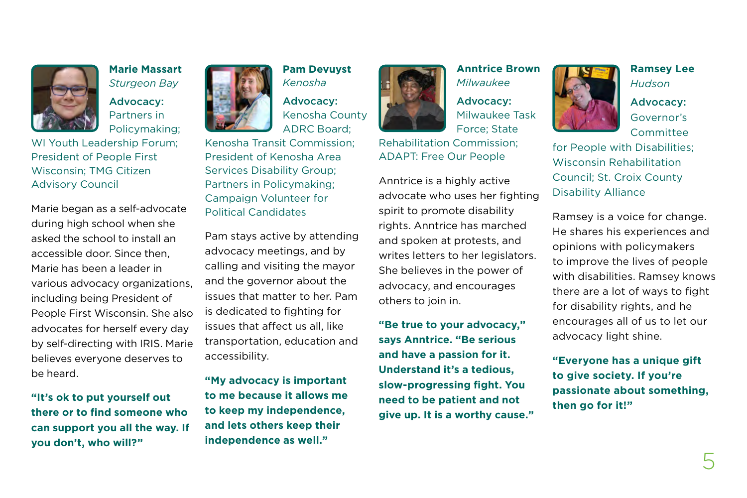

*Sturgeon Bay* Advocacy: Partners in Policymaking;

WI Youth Leadership Forum; President of People First Wisconsin; TMG Citizen Advisory Council

Marie began as a self-advocate during high school when she asked the school to install an accessible door. Since then, Marie has been a leader in various advocacy organizations, including being President of People First Wisconsin. She also advocates for herself every day by self-directing with IRIS. Marie believes everyone deserves to be heard.

**"It's ok to put yourself out there or to find someone who can support you all the way. If you don't, who will?"**



**Pam Devuyst** *Kenosha*

Advocacy: Kenosha County ADRC Board;

Kenosha Transit Commission; President of Kenosha Area Services Disability Group; Partners in Policymaking; Campaign Volunteer for Political Candidates

Pam stays active by attending advocacy meetings, and by calling and visiting the mayor and the governor about the issues that matter to her. Pam is dedicated to fighting for issues that affect us all, like transportation, education and accessibility.

**"My advocacy is important to me because it allows me to keep my independence, and lets others keep their independence as well."**



**Anntrice Brown** *Milwaukee* Advocacy: Milwaukee Task Force; State

Rehabilitation Commission; ADAPT: Free Our People

Anntrice is a highly active advocate who uses her fighting spirit to promote disability rights. Anntrice has marched and spoken at protests, and writes letters to her legislators. She believes in the power of advocacy, and encourages others to join in.

**"Be true to your advocacy," says Anntrice. "Be serious and have a passion for it. Understand it's a tedious, slow-progressing fight. You need to be patient and not give up. It is a worthy cause."**

**Ramsey Lee** *Hudson*

Advocacy: Governor's Committee

for People with Disabilities; Wisconsin Rehabilitation Council; St. Croix County Disability Alliance

Ramsey is a voice for change. He shares his experiences and opinions with policymakers to improve the lives of people with disabilities. Ramsey knows there are a lot of ways to fight for disability rights, and he encourages all of us to let our advocacy light shine.

**"Everyone has a unique gift to give society. If you're passionate about something, then go for it!"**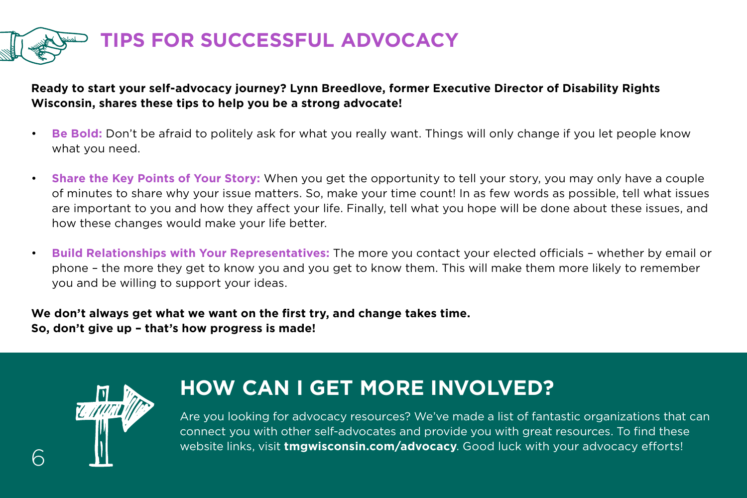

#### **Ready to start your self-advocacy journey? Lynn Breedlove, former Executive Director of Disability Rights Wisconsin, shares these tips to help you be a strong advocate!**

- **Be Bold:** Don't be afraid to politely ask for what you really want. Things will only change if you let people know what you need.
- **Share the Key Points of Your Story:** When you get the opportunity to tell your story, you may only have a couple of minutes to share why your issue matters. So, make your time count! In as few words as possible, tell what issues are important to you and how they affect your life. Finally, tell what you hope will be done about these issues, and how these changes would make your life better.
- **Build Relationships with Your Representatives:** The more you contact your elected officials whether by email or phone – the more they get to know you and you get to know them. This will make them more likely to remember you and be willing to support your ideas.

**We don't always get what we want on the first try, and change takes time. So, don't give up – that's how progress is made!**



6

### **HOW CAN I GET MORE INVOLVED?**

Are you looking for advocacy resources? We've made a list of fantastic organizations that can connect you with other self-advocates and provide you with great resources. To find these website links, visit **[tmgwisconsin.com/advocacy](http://tmgwisconsin.com/advocacy)**. Good luck with your advocacy efforts!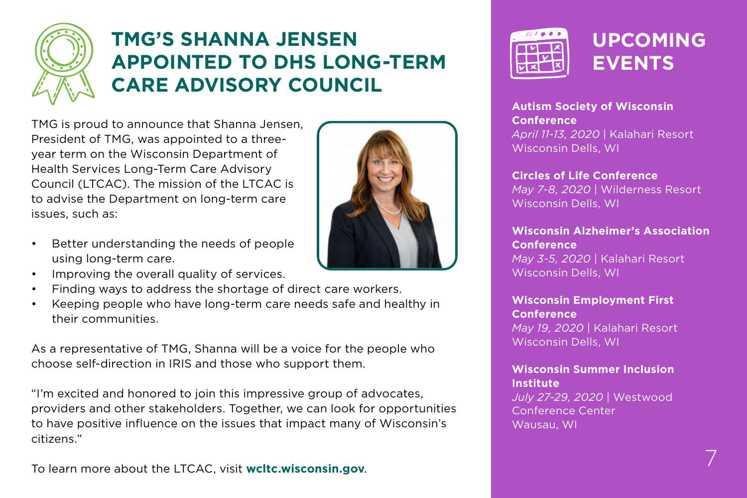<span id="page-6-0"></span>

### **TMG'S SHANNA JENSEN APPOINTED TO DHS LONG-TERM CARE ADVISORY COUNCIL**

TMG is proud to announce that Shanna Jensen, President of TMG, was appointed to a threeyear term on the Wisconsin Department of Health Services Long-Term Care Advisory Council (LTCAC). The mission of the LTCAC is to advise the Department on long-term care issues, such as:

- Better understanding the needs of people using long-term care.
- Improving the overall quality of services.
- Finding ways to address the shortage of direct care workers.
- Keeping people who have long-term care needs safe and healthy in their communities.

As a representative of TMG, Shanna will be a voice for the people who choose self-direction in IRIS and those who support them.

"I'm excited and honored to join this impressive group of advocates, providers and other stakeholders. Together, we can look for opportunities to have positive influence on the issues that impact many of Wisconsin's citizens."

To learn more about the LTCAC, visit **[wcltc.wisconsin.gov](http://wcltc.wisconsin.gov)**.





**Autism Society of Wisconsin Conference**  *April 11-13, 2020* | Kalahari Resort Wisconsin Dells, WI

**Circles of Life Conference** *May 7-8, 2020* | Wilderness Resort Wisconsin Dells, WI

**Wisconsin Alzheimer's Association Conference** *May 3-5, 2020* | Kalahari Resort Wisconsin Dells, WI

**Wisconsin Employment First Conference** *May 19, 2020* | Kalahari Resort Wisconsin Dells, WI

**Wisconsin Summer Inclusion Institute** *July 27-29, 2020* | Westwood Conference Center

Wausau, WI

7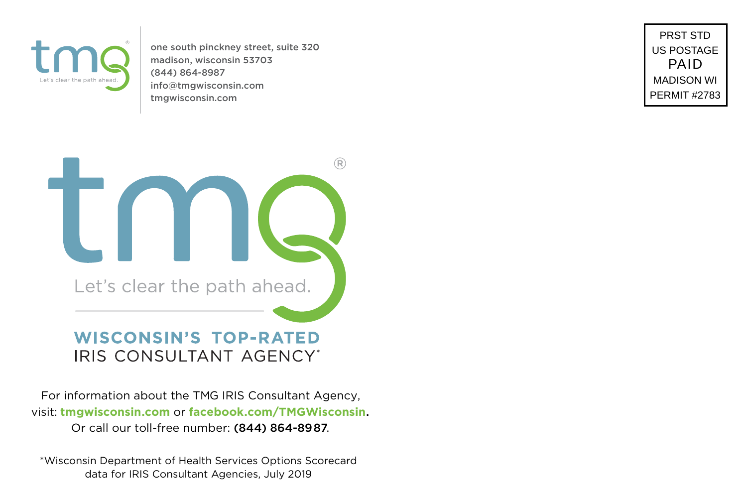

one south pinckney street, suite 320 madison, wisconsin 53703 (844) 864-8987 [info@tmgwisconsin.com](mailto:info%40tmgwisconsin.com?subject=) [tmgwisconsin.com](http://tmgwisconsin.com)

PRST STD US POSTAGE PAID MADISON WI PERMIT #2783



For information about the TMG IRIS Consultant Agency, visit: **[tmgwisconsin.com](http://www.tmgwisconsin.com/)** or **[facebook.com/TMGWisconsin](http://facebook.com/tmgwisconsin)**. Or call our toll-free number: (844) 864-8987.

\*Wisconsin Department of Health Services Options Scorecard data for IRIS Consultant Agencies, July 2019